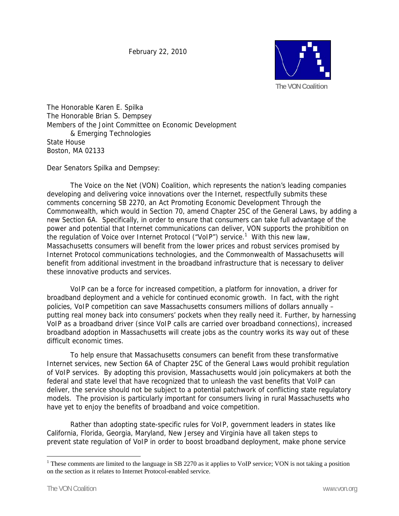February 22, 2010



The Honorable Karen E. Spilka The Honorable Brian S. Dempsey Members of the Joint Committee on Economic Development & Emerging Technologies State House Boston, MA 02133

Dear Senators Spilka and Dempsey:

 The Voice on the Net (VON) Coalition, which represents the nation's leading companies developing and delivering voice innovations over the Internet, respectfully submits these comments concerning SB 2270, an Act Promoting Economic Development Through the Commonwealth, which would in Section 70, amend Chapter 25C of the General Laws, by adding a new Section 6A. Specifically, in order to ensure that consumers can take full advantage of the power and potential that Internet communications can deliver, VON supports the prohibition on the regulation of Voice over Internet Protocol ("VoIP") service.<sup>1</sup> With this new law, Massachusetts consumers will benefit from the lower prices and robust services promised by Internet Protocol communications technologies, and the Commonwealth of Massachusetts will benefit from additional investment in the broadband infrastructure that is necessary to deliver these innovative products and services.

 VoIP can be a force for increased competition, a platform for innovation, a driver for broadband deployment and a vehicle for continued economic growth. In fact, with the right policies, VoIP competition can save Massachusetts consumers millions of dollars annually – putting real money back into consumers' pockets when they really need it. Further, by harnessing VoIP as a broadband driver (since VoIP calls are carried over broadband connections), increased broadband adoption in Massachusetts will create jobs as the country works its way out of these difficult economic times.

To help ensure that Massachusetts consumers can benefit from these transformative Internet services, new Section 6A of Chapter 25C of the General Laws would prohibit regulation of VoIP services. By adopting this provision, Massachusetts would join policymakers at both the federal and state level that have recognized that to unleash the vast benefits that VoIP can deliver, the service should not be subject to a potential patchwork of conflicting state regulatory models. The provision is particularly important for consumers living in rural Massachusetts who have yet to enjoy the benefits of broadband and voice competition.

 Rather than adopting state-specific rules for VoIP, government leaders in states like California, Florida, Georgia, Maryland, New Jersey and Virginia have all taken steps to prevent state regulation of VoIP in order to boost broadband deployment, make phone service

 $\overline{a}$ 

<sup>&</sup>lt;sup>1</sup> These comments are limited to the language in SB 2270 as it applies to VoIP service; VON is not taking a position on the section as it relates to Internet Protocol-enabled service.